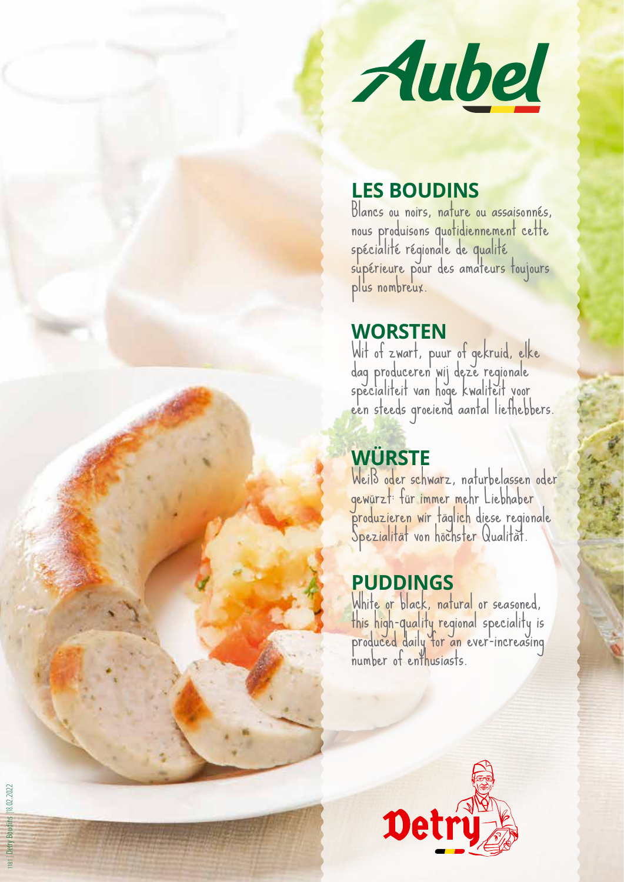

### **LES BOUDINS**

Blancs ou noirs, nature ou assaisonnés, nous produisons quotidiennement cette spécialité régionale de qualité supérieure pour des amateurs toujours plus nombreux.

### **WORSTEN**

Wit of zwart, puur of gekruid, elke dag produceren wij deze regionale<br>specialiteit van hoge kwaliteit voor een steeds groeiend aantal liefhebbers.

# **WÜRSTE**

Weiß oder schwarz, naturbelassen oder gewürzt: für immer mehr Liebhaber produzieren wir täglich diese regionale Spezialität von höchster Qualität.

# **PUDDINGS**

White or black, natural or seasoned, this high-quality regional speciality is produced daily for an ever-increasing number of enthusiasts.



1181 | Detry Boudins |18.02.2022